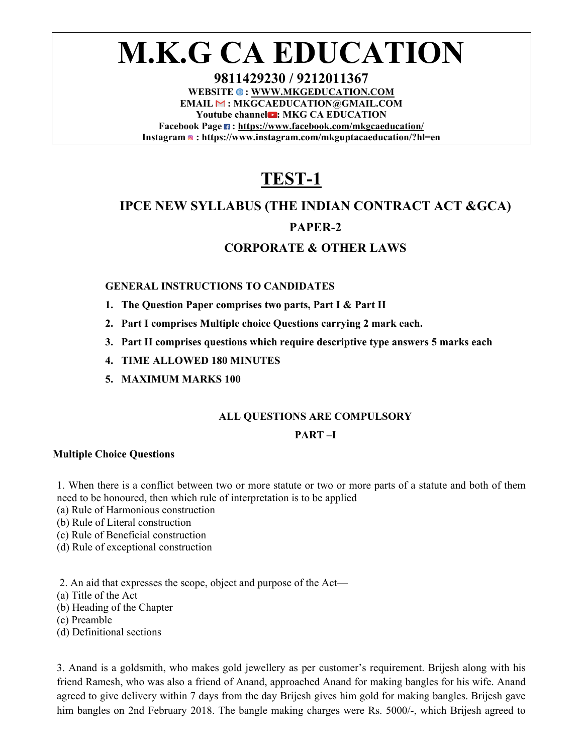# **M.K.G CA EDUCATION**

**9811429230 / 9212011367**  WEBSITE  $\odot$ : WWW.MKGEDUCATION.COM **EMAIL : MKGCAEDUCATION@GMAIL.COM**  Youtube channel **D**: MKG CA EDUCATION **Facebook Page : https://www.facebook.com/mkgcaeducation/ Instagram : https://www.instagram.com/mkguptacaeducation/?hl=en** 

## **TEST-1**

## **IPCE NEW SYLLABUS (THE INDIAN CONTRACT ACT &GCA)**

## **PAPER-2**

### **CORPORATE & OTHER LAWS**

#### **GENERAL INSTRUCTIONS TO CANDIDATES**

- **1. The Question Paper comprises two parts, Part I & Part II**
- **2. Part I comprises Multiple choice Questions carrying 2 mark each.**
- **3. Part II comprises questions which require descriptive type answers 5 marks each**
- **4. TIME ALLOWED 180 MINUTES**
- **5. MAXIMUM MARKS 100**

#### **ALL QUESTIONS ARE COMPULSORY**

#### **PART –I**

#### **Multiple Choice Questions**

1. When there is a conflict between two or more statute or two or more parts of a statute and both of them need to be honoured, then which rule of interpretation is to be applied

- (a) Rule of Harmonious construction
- (b) Rule of Literal construction
- (c) Rule of Beneficial construction
- (d) Rule of exceptional construction
- 2. An aid that expresses the scope, object and purpose of the Act—
- (a) Title of the Act
- (b) Heading of the Chapter
- (c) Preamble
- (d) Definitional sections

3. Anand is a goldsmith, who makes gold jewellery as per customer's requirement. Brijesh along with his friend Ramesh, who was also a friend of Anand, approached Anand for making bangles for his wife. Anand agreed to give delivery within 7 days from the day Brijesh gives him gold for making bangles. Brijesh gave him bangles on 2nd February 2018. The bangle making charges were Rs. 5000/-, which Brijesh agreed to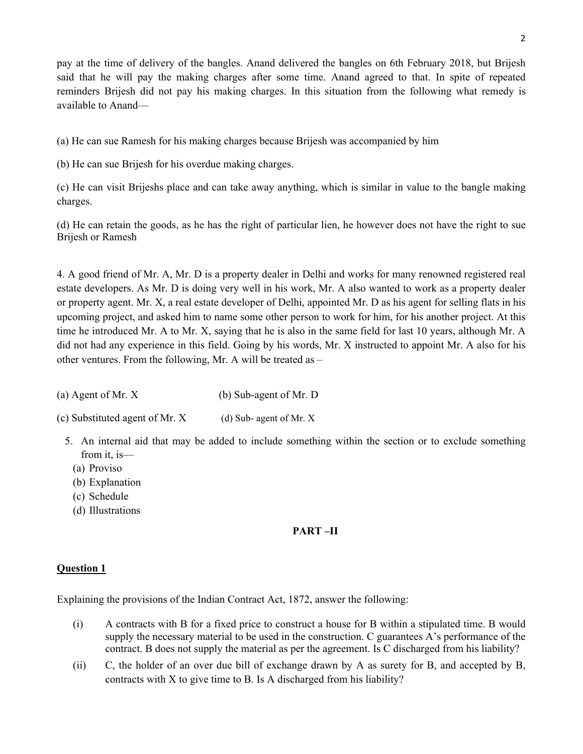pay at the time of delivery of the bangles. Anand delivered the bangles on 6th February 2018, but Brijesh said that he will pay the making charges after some time. Anand agreed to that. In spite of repeated reminders Brijesh did not pay his making charges. In this situation from the following what remedy is available to Anand—

(a) He can sue Ramesh for his making charges because Brijesh was accompanied by him

(b) He can sue Brijesh for his overdue making charges.

(c) He can visit Brijeshs place and can take away anything, which is similar in value to the bangle making charges.

(d) He can retain the goods, as he has the right of particular lien, he however does not have the right to sue Brijesh or Ramesh

4. A good friend of Mr. A, Mr. D is a property dealer in Delhi and works for many renowned registered real estate developers. As Mr. D is doing very well in his work, Mr. A also wanted to work as a property dealer or property agent. Mr. X, a real estate developer of Delhi, appointed Mr. D as his agent for selling flats in his upcoming project, and asked him to name some other person to work for him, for his another project. At this time he introduced Mr. A to Mr. X, saying that he is also in the same field for last 10 years, although Mr. A did not had any experience in this field. Going by his words, Mr. X instructed to appoint Mr. A also for his other ventures. From the following, Mr. A will be treated as –

(a) Agent of Mr. X (b) Sub-agent of Mr. D

(c) Substituted agent of Mr. X (d) Sub- agent of Mr. X

- 5. An internal aid that may be added to include something within the section or to exclude something from it, is—
	- (a) Proviso
	- (b) Explanation
	- (c) Schedule
	- (d) Illustrations

#### **PART –II**

#### **Question 1**

Explaining the provisions of the Indian Contract Act, 1872, answer the following:

- (i) A contracts with B for a fixed price to construct a house for B within a stipulated time. B would supply the necessary material to be used in the construction. C guarantees A's performance of the contract. B does not supply the material as per the agreement. Is C discharged from his liability?
- (ii) C, the holder of an over due bill of exchange drawn by A as surety for B, and accepted by B, contracts with X to give time to B. Is A discharged from his liability?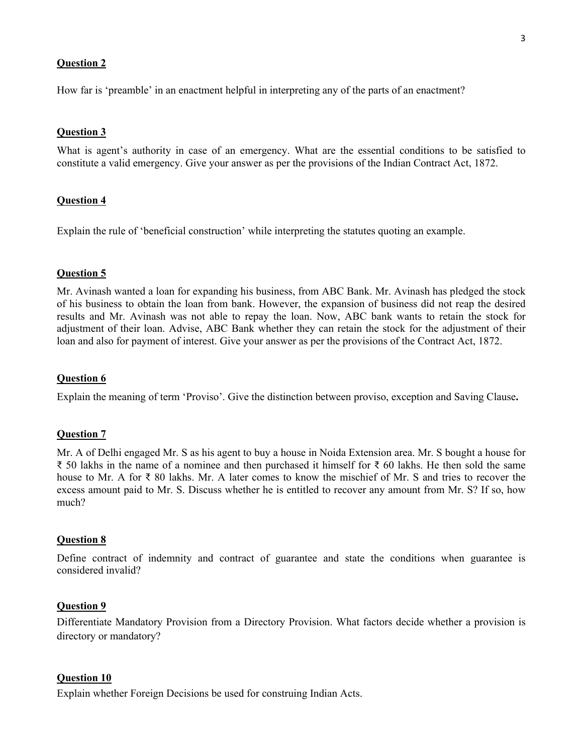#### **Question 2**

How far is 'preamble' in an enactment helpful in interpreting any of the parts of an enactment?

#### **Question 3**

What is agent's authority in case of an emergency. What are the essential conditions to be satisfied to constitute a valid emergency. Give your answer as per the provisions of the Indian Contract Act, 1872.

#### **Question 4**

Explain the rule of 'beneficial construction' while interpreting the statutes quoting an example.

#### **Question 5**

Mr. Avinash wanted a loan for expanding his business, from ABC Bank. Mr. Avinash has pledged the stock of his business to obtain the loan from bank. However, the expansion of business did not reap the desired results and Mr. Avinash was not able to repay the loan. Now, ABC bank wants to retain the stock for adjustment of their loan. Advise, ABC Bank whether they can retain the stock for the adjustment of their loan and also for payment of interest. Give your answer as per the provisions of the Contract Act, 1872.

#### **Question 6**

Explain the meaning of term 'Proviso'. Give the distinction between proviso, exception and Saving Clause**.** 

#### **Question 7**

Mr. A of Delhi engaged Mr. S as his agent to buy a house in Noida Extension area. Mr. S bought a house for ₹ 50 lakhs in the name of a nominee and then purchased it himself for ₹ 60 lakhs. He then sold the same house to Mr. A for ₹ 80 lakhs. Mr. A later comes to know the mischief of Mr. S and tries to recover the excess amount paid to Mr. S. Discuss whether he is entitled to recover any amount from Mr. S? If so, how much?

#### **Question 8**

Define contract of indemnity and contract of guarantee and state the conditions when guarantee is considered invalid?

#### **Question 9**

Differentiate Mandatory Provision from a Directory Provision. What factors decide whether a provision is directory or mandatory?

#### **Question 10**

Explain whether Foreign Decisions be used for construing Indian Acts.